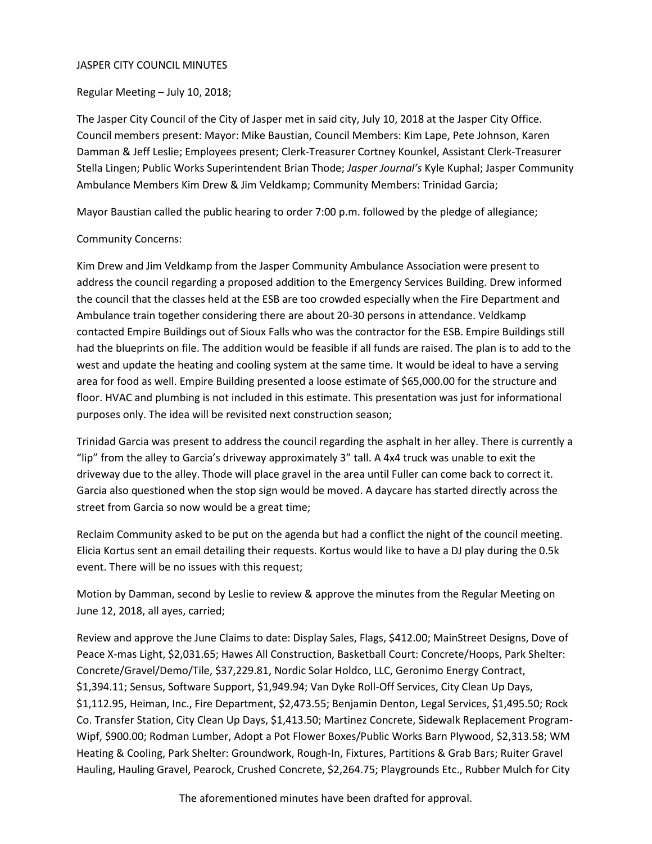#### JASPER CITY COUNCIL MINUTES

### Regular Meeting – July 10, 2018;

The Jasper City Council of the City of Jasper met in said city, July 10, 2018 at the Jasper City Office. Council members present: Mayor: Mike Baustian, Council Members: Kim Lape, Pete Johnson, Karen Damman & Jeff Leslie; Employees present; Clerk-Treasurer Cortney Kounkel, Assistant Clerk-Treasurer Stella Lingen; Public Works Superintendent Brian Thode; *Jasper Journal's* Kyle Kuphal; Jasper Community Ambulance Members Kim Drew & Jim Veldkamp; Community Members: Trinidad Garcia;

Mayor Baustian called the public hearing to order 7:00 p.m. followed by the pledge of allegiance;

## Community Concerns:

Kim Drew and Jim Veldkamp from the Jasper Community Ambulance Association were present to address the council regarding a proposed addition to the Emergency Services Building. Drew informed the council that the classes held at the ESB are too crowded especially when the Fire Department and Ambulance train together considering there are about 20-30 persons in attendance. Veldkamp contacted Empire Buildings out of Sioux Falls who was the contractor for the ESB. Empire Buildings still had the blueprints on file. The addition would be feasible if all funds are raised. The plan is to add to the west and update the heating and cooling system at the same time. It would be ideal to have a serving area for food as well. Empire Building presented a loose estimate of \$65,000.00 for the structure and floor. HVAC and plumbing is not included in this estimate. This presentation was just for informational purposes only. The idea will be revisited next construction season;

Trinidad Garcia was present to address the council regarding the asphalt in her alley. There is currently a "lip" from the alley to Garcia's driveway approximately 3" tall. A 4x4 truck was unable to exit the driveway due to the alley. Thode will place gravel in the area until Fuller can come back to correct it. Garcia also questioned when the stop sign would be moved. A daycare has started directly across the street from Garcia so now would be a great time;

Reclaim Community asked to be put on the agenda but had a conflict the night of the council meeting. Elicia Kortus sent an email detailing their requests. Kortus would like to have a DJ play during the 0.5k event. There will be no issues with this request;

Motion by Damman, second by Leslie to review & approve the minutes from the Regular Meeting on June 12, 2018, all ayes, carried;

Review and approve the June Claims to date: Display Sales, Flags, \$412.00; MainStreet Designs, Dove of Peace X-mas Light, \$2,031.65; Hawes All Construction, Basketball Court: Concrete/Hoops, Park Shelter: Concrete/Gravel/Demo/Tile, \$37,229.81, Nordic Solar Holdco, LLC, Geronimo Energy Contract, \$1,394.11; Sensus, Software Support, \$1,949.94; Van Dyke Roll-Off Services, City Clean Up Days, \$1,112.95, Heiman, Inc., Fire Department, \$2,473.55; Benjamin Denton, Legal Services, \$1,495.50; Rock Co. Transfer Station, City Clean Up Days, \$1,413.50; Martinez Concrete, Sidewalk Replacement Program-Wipf, \$900.00; Rodman Lumber, Adopt a Pot Flower Boxes/Public Works Barn Plywood, \$2,313.58; WM Heating & Cooling, Park Shelter: Groundwork, Rough-In, Fixtures, Partitions & Grab Bars; Ruiter Gravel Hauling, Hauling Gravel, Pearock, Crushed Concrete, \$2,264.75; Playgrounds Etc., Rubber Mulch for City

The aforementioned minutes have been drafted for approval.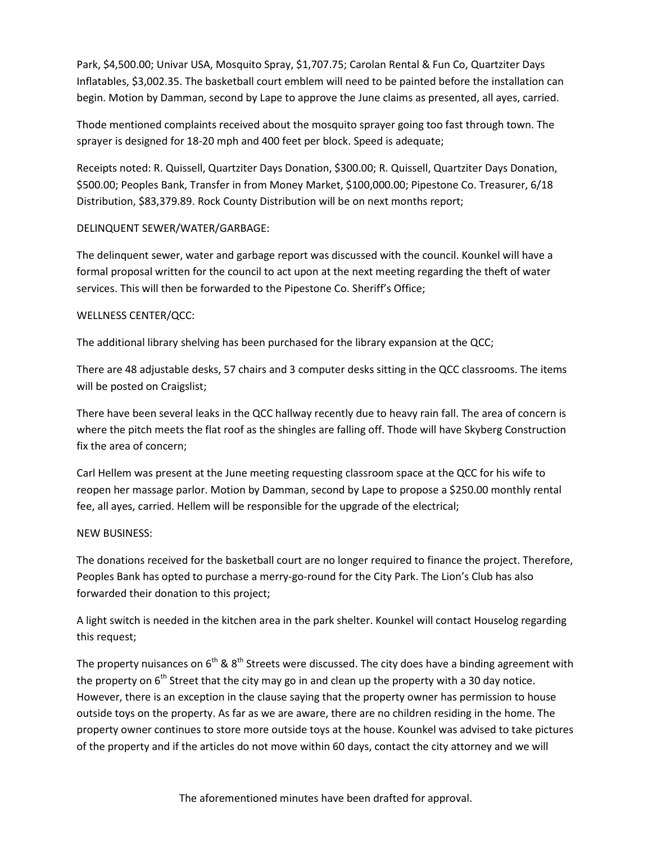Park, \$4,500.00; Univar USA, Mosquito Spray, \$1,707.75; Carolan Rental & Fun Co, Quartziter Days Inflatables, \$3,002.35. The basketball court emblem will need to be painted before the installation can begin. Motion by Damman, second by Lape to approve the June claims as presented, all ayes, carried.

Thode mentioned complaints received about the mosquito sprayer going too fast through town. The sprayer is designed for 18-20 mph and 400 feet per block. Speed is adequate;

Receipts noted: R. Quissell, Quartziter Days Donation, \$300.00; R. Quissell, Quartziter Days Donation, \$500.00; Peoples Bank, Transfer in from Money Market, \$100,000.00; Pipestone Co. Treasurer, 6/18 Distribution, \$83,379.89. Rock County Distribution will be on next months report;

### DELINQUENT SEWER/WATER/GARBAGE:

The delinquent sewer, water and garbage report was discussed with the council. Kounkel will have a formal proposal written for the council to act upon at the next meeting regarding the theft of water services. This will then be forwarded to the Pipestone Co. Sheriff's Office;

### WELLNESS CENTER/QCC:

The additional library shelving has been purchased for the library expansion at the QCC;

There are 48 adjustable desks, 57 chairs and 3 computer desks sitting in the QCC classrooms. The items will be posted on Craigslist;

There have been several leaks in the QCC hallway recently due to heavy rain fall. The area of concern is where the pitch meets the flat roof as the shingles are falling off. Thode will have Skyberg Construction fix the area of concern;

Carl Hellem was present at the June meeting requesting classroom space at the QCC for his wife to reopen her massage parlor. Motion by Damman, second by Lape to propose a \$250.00 monthly rental fee, all ayes, carried. Hellem will be responsible for the upgrade of the electrical;

#### NEW BUSINESS:

The donations received for the basketball court are no longer required to finance the project. Therefore, Peoples Bank has opted to purchase a merry-go-round for the City Park. The Lion's Club has also forwarded their donation to this project;

A light switch is needed in the kitchen area in the park shelter. Kounkel will contact Houselog regarding this request;

The property nuisances on 6<sup>th</sup> & 8<sup>th</sup> Streets were discussed. The city does have a binding agreement with the property on  $6<sup>th</sup>$  Street that the city may go in and clean up the property with a 30 day notice. However, there is an exception in the clause saying that the property owner has permission to house outside toys on the property. As far as we are aware, there are no children residing in the home. The property owner continues to store more outside toys at the house. Kounkel was advised to take pictures of the property and if the articles do not move within 60 days, contact the city attorney and we will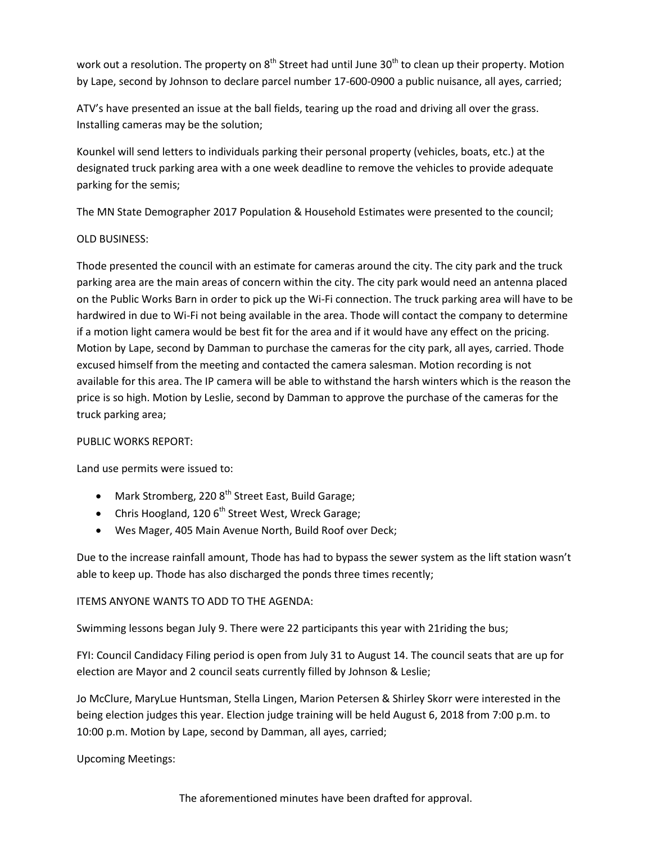work out a resolution. The property on  $8<sup>th</sup>$  Street had until June 30<sup>th</sup> to clean up their property. Motion by Lape, second by Johnson to declare parcel number 17-600-0900 a public nuisance, all ayes, carried;

ATV's have presented an issue at the ball fields, tearing up the road and driving all over the grass. Installing cameras may be the solution;

Kounkel will send letters to individuals parking their personal property (vehicles, boats, etc.) at the designated truck parking area with a one week deadline to remove the vehicles to provide adequate parking for the semis;

The MN State Demographer 2017 Population & Household Estimates were presented to the council;

# OLD BUSINESS:

Thode presented the council with an estimate for cameras around the city. The city park and the truck parking area are the main areas of concern within the city. The city park would need an antenna placed on the Public Works Barn in order to pick up the Wi-Fi connection. The truck parking area will have to be hardwired in due to Wi-Fi not being available in the area. Thode will contact the company to determine if a motion light camera would be best fit for the area and if it would have any effect on the pricing. Motion by Lape, second by Damman to purchase the cameras for the city park, all ayes, carried. Thode excused himself from the meeting and contacted the camera salesman. Motion recording is not available for this area. The IP camera will be able to withstand the harsh winters which is the reason the price is so high. Motion by Leslie, second by Damman to approve the purchase of the cameras for the truck parking area;

## PUBLIC WORKS REPORT:

Land use permits were issued to:

- Mark Stromberg, 220  $8<sup>th</sup>$  Street East, Build Garage;
- Chris Hoogland, 120 6<sup>th</sup> Street West, Wreck Garage;
- Wes Mager, 405 Main Avenue North, Build Roof over Deck;

Due to the increase rainfall amount, Thode has had to bypass the sewer system as the lift station wasn't able to keep up. Thode has also discharged the ponds three times recently;

# ITEMS ANYONE WANTS TO ADD TO THE AGENDA:

Swimming lessons began July 9. There were 22 participants this year with 21riding the bus;

FYI: Council Candidacy Filing period is open from July 31 to August 14. The council seats that are up for election are Mayor and 2 council seats currently filled by Johnson & Leslie;

Jo McClure, MaryLue Huntsman, Stella Lingen, Marion Petersen & Shirley Skorr were interested in the being election judges this year. Election judge training will be held August 6, 2018 from 7:00 p.m. to 10:00 p.m. Motion by Lape, second by Damman, all ayes, carried;

Upcoming Meetings: